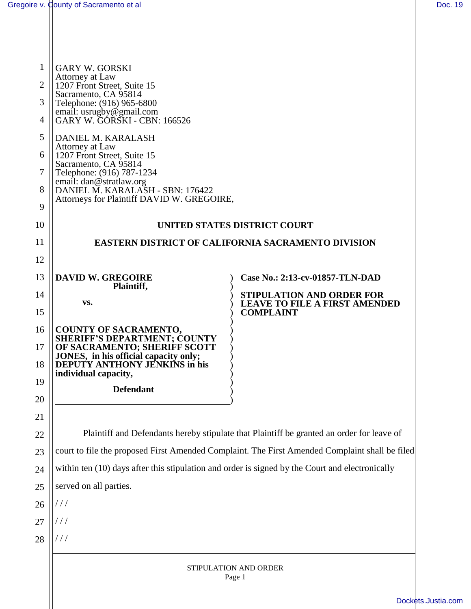| 1              | <b>GARY W. GORSKI</b>                                                                           |                                                          |  |
|----------------|-------------------------------------------------------------------------------------------------|----------------------------------------------------------|--|
| $\overline{2}$ | Attorney at Law<br>1207 Front Street, Suite 15                                                  |                                                          |  |
| 3              | Sacramento, CA 95814<br>Telephone: (916) 965-6800                                               |                                                          |  |
| 4              | email: usrugby@gmail.com<br>GARY W. GÓRSKI - CBN: 166526                                        |                                                          |  |
| 5              | DANIEL M. KARALASH                                                                              |                                                          |  |
| 6              | Attorney at Law<br>1207 Front Street, Suite 15                                                  |                                                          |  |
| 7              | Sacramento, CA 95814<br>Telephone: (916) 787-1234                                               |                                                          |  |
| 8              | email: dan@stratlaw.org<br>DANIEL M. KARALASH - SBN: 176422                                     |                                                          |  |
| 9              | Attorneys for Plaintiff DAVID W. GREGOIRE,                                                      |                                                          |  |
| 10             | UNITED STATES DISTRICT COURT                                                                    |                                                          |  |
| 11             | <b>EASTERN DISTRICT OF CALIFORNIA SACRAMENTO DIVISION</b>                                       |                                                          |  |
| 12             |                                                                                                 |                                                          |  |
| 13             | <b>DAVID W. GREGOIRE</b>                                                                        | Case No.: 2:13-cv-01857-TLN-DAD                          |  |
| 14             | Plaintiff,<br>VS.                                                                               | <b>STIPULATION AND ORDER FOR</b>                         |  |
| 15             |                                                                                                 | <b>LEAVE TO FILE A FIRST AMENDED</b><br><b>COMPLAINT</b> |  |
| 16             | <b>COUNTY OF SACRAMENTO,</b>                                                                    |                                                          |  |
| 17             | <b>SHERIFF'S DEPARTMENT; COUNTY</b><br>OF SACRAMENTO; SHERIFF SCOTT                             |                                                          |  |
| 18             | JONES, in his official capacity only;<br>DEPUTY ANTHONY JENKINS in his                          |                                                          |  |
| 19             | individual capacity,<br><b>Defendant</b>                                                        |                                                          |  |
| 20             |                                                                                                 |                                                          |  |
| 21             |                                                                                                 |                                                          |  |
| 22             | Plaintiff and Defendants hereby stipulate that Plaintiff be granted an order for leave of       |                                                          |  |
| 23             | court to file the proposed First Amended Complaint. The First Amended Complaint shall be filed  |                                                          |  |
| 24             | within ten (10) days after this stipulation and order is signed by the Court and electronically |                                                          |  |
| 25             | served on all parties.                                                                          |                                                          |  |
| 26             | ///                                                                                             |                                                          |  |
| 27             | ///                                                                                             |                                                          |  |
| 28             | ///                                                                                             |                                                          |  |
|                | STIPULATION AND ORDER                                                                           |                                                          |  |
|                | Page 1                                                                                          |                                                          |  |